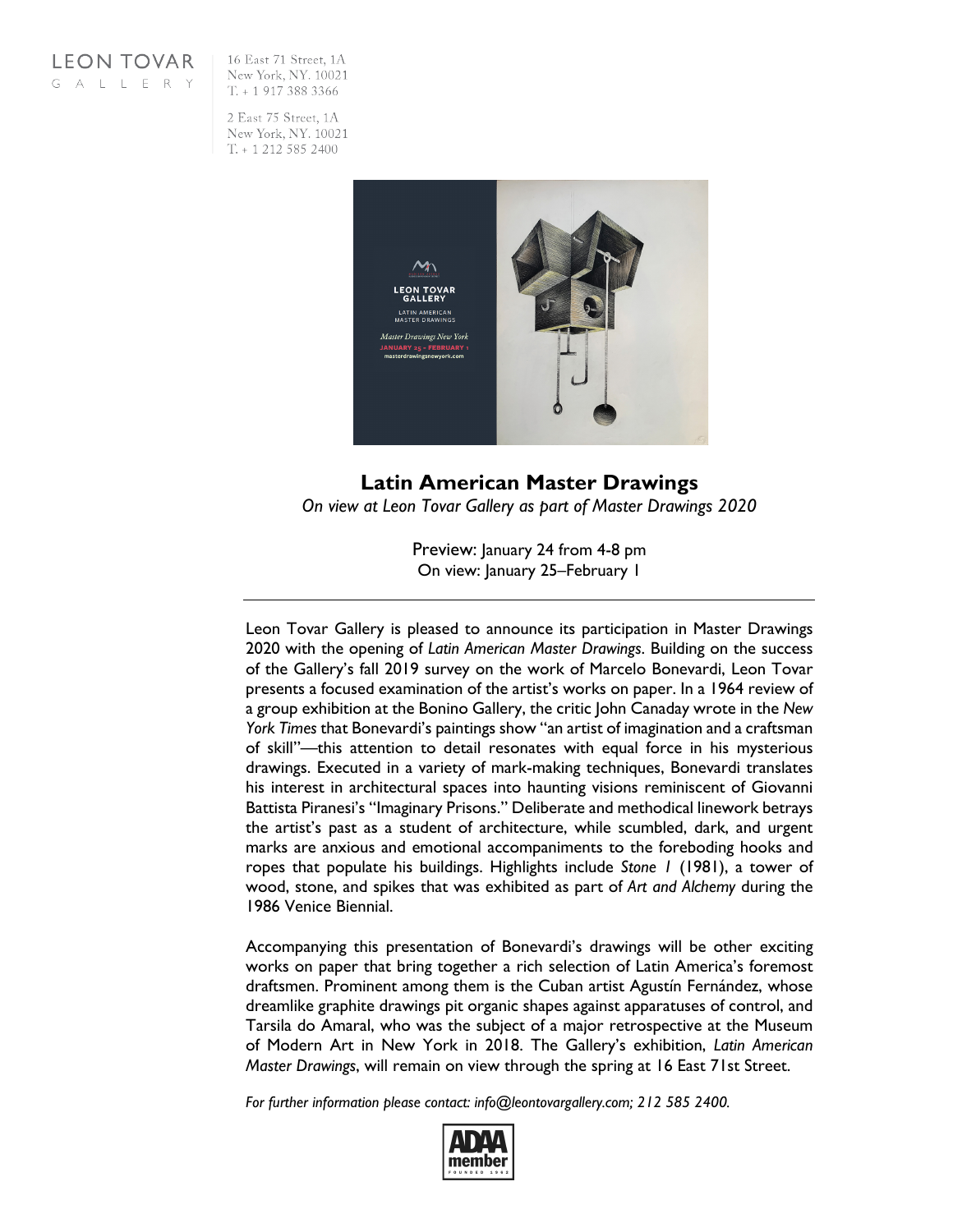

16 East 71 Street, 1A New York, NY. 10021  $T_{t}$  + 1 917 388 3366

2 East 75 Street, 1A New York, NY. 10021  $T. + 12125852400$ 



**Latin American Master Drawings** *On view at Leon Tovar Gallery as part of Master Drawings 2020*

> Preview: January 24 from 4-8 pm On view: January 25–February 1

Leon Tovar Gallery is pleased to announce its participation in Master Drawings 2020 with the opening of *Latin American Master Drawings*. Building on the success of the Gallery's fall 2019 survey on the work of Marcelo Bonevardi, Leon Tovar presents a focused examination of the artist's works on paper. In a 1964 review of a group exhibition at the Bonino Gallery, the critic John Canaday wrote in the *New York Times* that Bonevardi's paintings show "an artist of imagination and a craftsman of skill"—this attention to detail resonates with equal force in his mysterious drawings. Executed in a variety of mark-making techniques, Bonevardi translates his interest in architectural spaces into haunting visions reminiscent of Giovanni Battista Piranesi's "Imaginary Prisons." Deliberate and methodical linework betrays the artist's past as a student of architecture, while scumbled, dark, and urgent marks are anxious and emotional accompaniments to the foreboding hooks and ropes that populate his buildings. Highlights include *Stone 1* (1981), a tower of wood, stone, and spikes that was exhibited as part of *Art and Alchemy* during the 1986 Venice Biennial.

Accompanying this presentation of Bonevardi's drawings will be other exciting works on paper that bring together a rich selection of Latin America's foremost draftsmen. Prominent among them is the Cuban artist Agustín Fernández, whose dreamlike graphite drawings pit organic shapes against apparatuses of control, and Tarsila do Amaral, who was the subject of a major retrospective at the Museum of Modern Art in New York in 2018. The Gallery's exhibition, *Latin American Master Drawings*, will remain on view through the spring at 16 East 71st Street.

*For further information please contact: info@leontovargallery.com; 212 585 2400.*